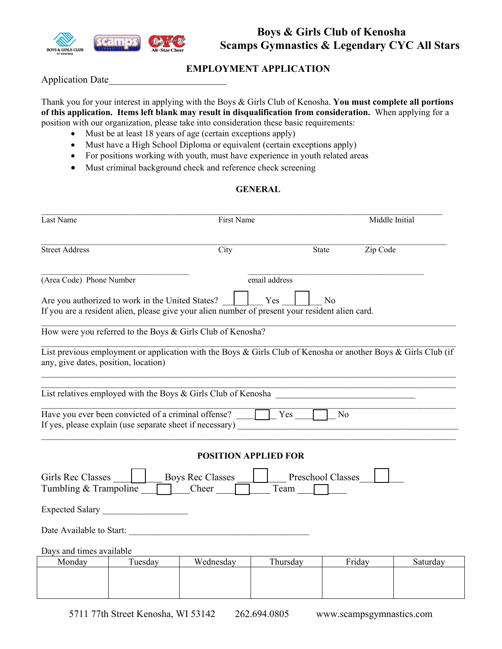

# **EMPLOYMENT APPLICATION**

Application Date\_\_\_\_\_\_\_\_\_\_\_\_\_\_\_\_\_\_\_\_\_\_\_\_

Thank you for your interest in applying with the Boys & Girls Club of Kenosha. **You must complete all portions of this application. Items left blank may result in disqualification from consideration.** When applying for a position with our organization, please take into consideration these basic requirements:

- Must be at least 18 years of age (certain exceptions apply)
- Must have a High School Diploma or equivalent (certain exceptions apply)
- For positions working with youth, must have experience in youth related areas
- Must criminal background check and reference check screening

## **GENERAL**

| Last Name                                                                                                                        | First Name |                                                                                                                | Middle Initial |                |          |  |
|----------------------------------------------------------------------------------------------------------------------------------|------------|----------------------------------------------------------------------------------------------------------------|----------------|----------------|----------|--|
| <b>Street Address</b><br>City                                                                                                    |            |                                                                                                                | <b>State</b>   |                | Zip Code |  |
| (Area Code) Phone Number                                                                                                         |            |                                                                                                                | email address  |                |          |  |
| Are you authorized to work in the United States?                                                                                 |            | If you are a resident alien, please give your alien number of present your resident alien card.                | Yes            | N <sub>o</sub> |          |  |
|                                                                                                                                  |            | How were you referred to the Boys & Girls Club of Kenosha?                                                     |                |                |          |  |
| any, give dates, position, location)                                                                                             |            | List previous employment or application with the Boys & Girls Club of Kenosha or another Boys & Girls Club (if |                |                |          |  |
|                                                                                                                                  |            | List relatives employed with the Boys & Girls Club of Kenosha                                                  |                |                |          |  |
|                                                                                                                                  |            | Have you ever been convicted of a criminal offense? $\Box$ Yes                                                 |                | $\vert$ No     |          |  |
|                                                                                                                                  |            | <b>POSITION APPLIED FOR</b>                                                                                    |                |                |          |  |
| Girls Rec Classes<br><b>Boys Rec Classes</b><br><b>Preschool Classes</b><br>Tumbling & Trampoline<br>$\Box$ Cheer<br>$Team \Box$ |            |                                                                                                                |                |                |          |  |
|                                                                                                                                  |            |                                                                                                                |                |                |          |  |
|                                                                                                                                  |            | Date Available to Start:                                                                                       |                |                |          |  |
| Days and times available                                                                                                         |            |                                                                                                                |                |                |          |  |
| Monday                                                                                                                           | Tuesday    | Wednesday                                                                                                      | Thursday       | Friday         | Saturday |  |
|                                                                                                                                  |            |                                                                                                                |                |                |          |  |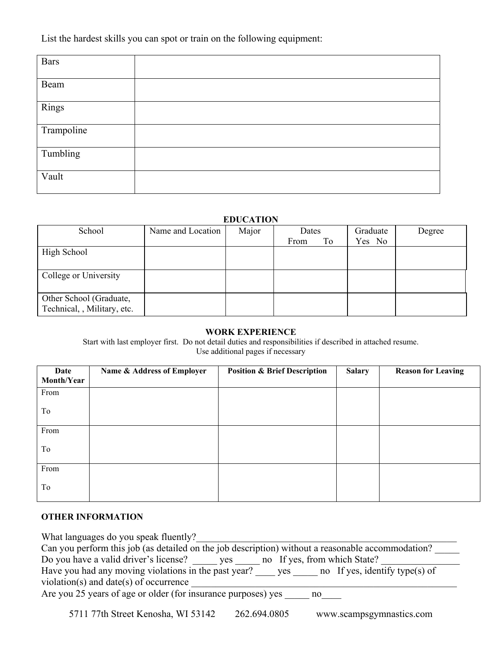List the hardest skills you can spot or train on the following equipment:

| <b>Bars</b> |  |
|-------------|--|
| Beam        |  |
| Rings       |  |
| Trampoline  |  |
| Tumbling    |  |
| Vault       |  |

### **EDUCATION**

| School                                                 | Name and Location | Major | Dates<br>To<br>From | Graduate<br>Yes No | Degree |
|--------------------------------------------------------|-------------------|-------|---------------------|--------------------|--------|
| High School                                            |                   |       |                     |                    |        |
| College or University                                  |                   |       |                     |                    |        |
| Other School (Graduate,<br>Technical, , Military, etc. |                   |       |                     |                    |        |

#### **WORK EXPERIENCE**

Start with last employer first. Do not detail duties and responsibilities if described in attached resume. Use additional pages if necessary

| Date       | Name & Address of Employer | <b>Position &amp; Brief Description</b> | <b>Salary</b> | <b>Reason for Leaving</b> |
|------------|----------------------------|-----------------------------------------|---------------|---------------------------|
| Month/Year |                            |                                         |               |                           |
| From       |                            |                                         |               |                           |
| To         |                            |                                         |               |                           |
| From       |                            |                                         |               |                           |
| To         |                            |                                         |               |                           |
| From       |                            |                                         |               |                           |
| To         |                            |                                         |               |                           |

### **OTHER INFORMATION**

| What languages do you speak fluently?                                                             |  |  |  |  |
|---------------------------------------------------------------------------------------------------|--|--|--|--|
| Can you perform this job (as detailed on the job description) without a reasonable accommodation? |  |  |  |  |
| Do you have a valid driver's license?<br>no If yes, from which State?<br>yes                      |  |  |  |  |
| Have you had any moving violations in the past year?<br>no If yes, identify type(s) of<br>yes     |  |  |  |  |
| violation(s) and date(s) of occurrence                                                            |  |  |  |  |
| Are you 25 years of age or older (for insurance purposes) yes<br>no.                              |  |  |  |  |